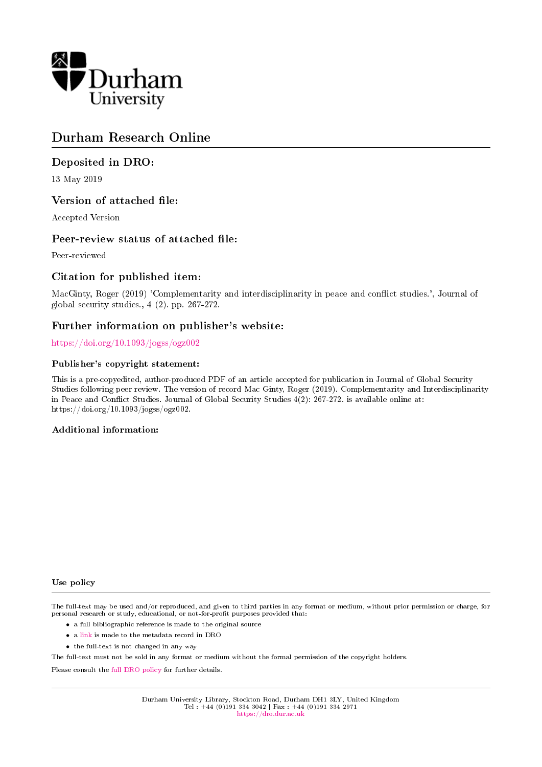

# Durham Research Online

### Deposited in DRO:

13 May 2019

### Version of attached file:

Accepted Version

### Peer-review status of attached file:

Peer-reviewed

### Citation for published item:

MacGinty, Roger (2019) 'Complementarity and interdisciplinarity in peace and conflict studies.', Journal of global security studies., 4 (2). pp. 267-272.

## Further information on publisher's website:

<https://doi.org/10.1093/jogss/ogz002>

#### Publisher's copyright statement:

This is a pre-copyedited, author-produced PDF of an article accepted for publication in Journal of Global Security Studies following peer review. The version of record Mac Ginty, Roger (2019). Complementarity and Interdisciplinarity in Peace and Conflict Studies. Journal of Global Security Studies 4(2): 267-272. is available online at: https://doi.org/10.1093/jogss/ogz002.

#### Additional information:

#### Use policy

The full-text may be used and/or reproduced, and given to third parties in any format or medium, without prior permission or charge, for personal research or study, educational, or not-for-profit purposes provided that:

- a full bibliographic reference is made to the original source
- a [link](http://dro.dur.ac.uk/28160/) is made to the metadata record in DRO
- the full-text is not changed in any way

The full-text must not be sold in any format or medium without the formal permission of the copyright holders.

Please consult the [full DRO policy](https://dro.dur.ac.uk/policies/usepolicy.pdf) for further details.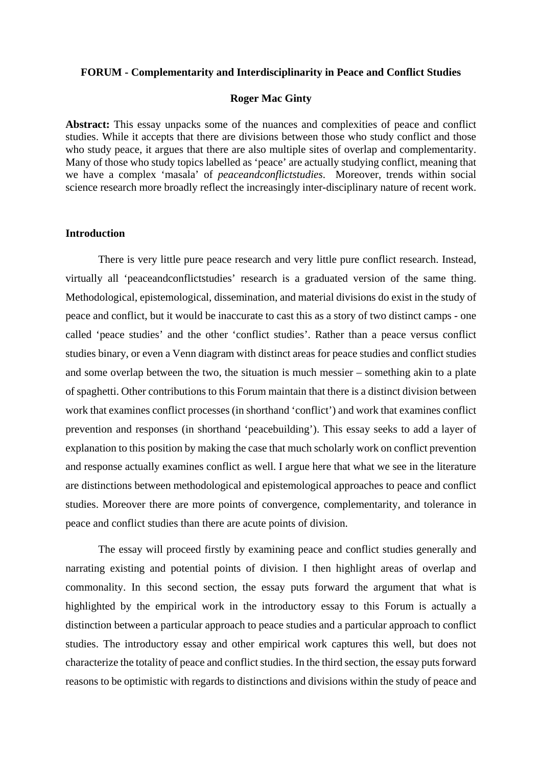#### **FORUM - Complementarity and Interdisciplinarity in Peace and Conflict Studies**

### **Roger Mac Ginty**

**Abstract:** This essay unpacks some of the nuances and complexities of peace and conflict studies. While it accepts that there are divisions between those who study conflict and those who study peace, it argues that there are also multiple sites of overlap and complementarity. Many of those who study topics labelled as 'peace' are actually studying conflict, meaning that we have a complex 'masala' of *peaceandconflictstudies*. Moreover, trends within social science research more broadly reflect the increasingly inter-disciplinary nature of recent work.

#### **Introduction**

There is very little pure peace research and very little pure conflict research. Instead, virtually all 'peaceandconflictstudies' research is a graduated version of the same thing. Methodological, epistemological, dissemination, and material divisions do exist in the study of peace and conflict, but it would be inaccurate to cast this as a story of two distinct camps - one called 'peace studies' and the other 'conflict studies'. Rather than a peace versus conflict studies binary, or even a Venn diagram with distinct areas for peace studies and conflict studies and some overlap between the two, the situation is much messier – something akin to a plate of spaghetti. Other contributions to this Forum maintain that there is a distinct division between work that examines conflict processes (in shorthand 'conflict') and work that examines conflict prevention and responses (in shorthand 'peacebuilding'). This essay seeks to add a layer of explanation to this position by making the case that much scholarly work on conflict prevention and response actually examines conflict as well. I argue here that what we see in the literature are distinctions between methodological and epistemological approaches to peace and conflict studies. Moreover there are more points of convergence, complementarity, and tolerance in peace and conflict studies than there are acute points of division.

The essay will proceed firstly by examining peace and conflict studies generally and narrating existing and potential points of division. I then highlight areas of overlap and commonality. In this second section, the essay puts forward the argument that what is highlighted by the empirical work in the introductory essay to this Forum is actually a distinction between a particular approach to peace studies and a particular approach to conflict studies. The introductory essay and other empirical work captures this well, but does not characterize the totality of peace and conflict studies. In the third section, the essay puts forward reasons to be optimistic with regards to distinctions and divisions within the study of peace and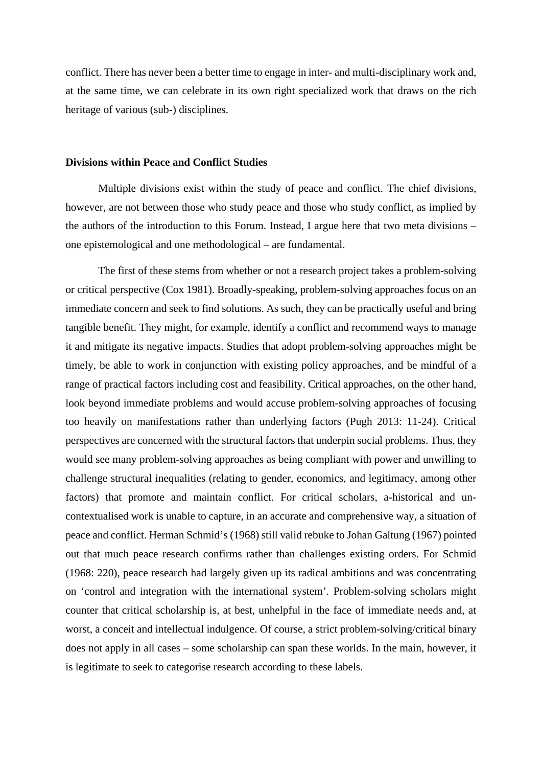conflict. There has never been a better time to engage in inter- and multi-disciplinary work and, at the same time, we can celebrate in its own right specialized work that draws on the rich heritage of various (sub-) disciplines.

#### **Divisions within Peace and Conflict Studies**

Multiple divisions exist within the study of peace and conflict. The chief divisions, however, are not between those who study peace and those who study conflict, as implied by the authors of the introduction to this Forum. Instead, I argue here that two meta divisions – one epistemological and one methodological – are fundamental.

The first of these stems from whether or not a research project takes a problem-solving or critical perspective (Cox 1981). Broadly-speaking, problem-solving approaches focus on an immediate concern and seek to find solutions. As such, they can be practically useful and bring tangible benefit. They might, for example, identify a conflict and recommend ways to manage it and mitigate its negative impacts. Studies that adopt problem-solving approaches might be timely, be able to work in conjunction with existing policy approaches, and be mindful of a range of practical factors including cost and feasibility. Critical approaches, on the other hand, look beyond immediate problems and would accuse problem-solving approaches of focusing too heavily on manifestations rather than underlying factors (Pugh 2013: 11-24). Critical perspectives are concerned with the structural factors that underpin social problems. Thus, they would see many problem-solving approaches as being compliant with power and unwilling to challenge structural inequalities (relating to gender, economics, and legitimacy, among other factors) that promote and maintain conflict. For critical scholars, a-historical and uncontextualised work is unable to capture, in an accurate and comprehensive way, a situation of peace and conflict. Herman Schmid's (1968) still valid rebuke to Johan Galtung (1967) pointed out that much peace research confirms rather than challenges existing orders. For Schmid (1968: 220), peace research had largely given up its radical ambitions and was concentrating on 'control and integration with the international system'. Problem-solving scholars might counter that critical scholarship is, at best, unhelpful in the face of immediate needs and, at worst, a conceit and intellectual indulgence. Of course, a strict problem-solving/critical binary does not apply in all cases – some scholarship can span these worlds. In the main, however, it is legitimate to seek to categorise research according to these labels.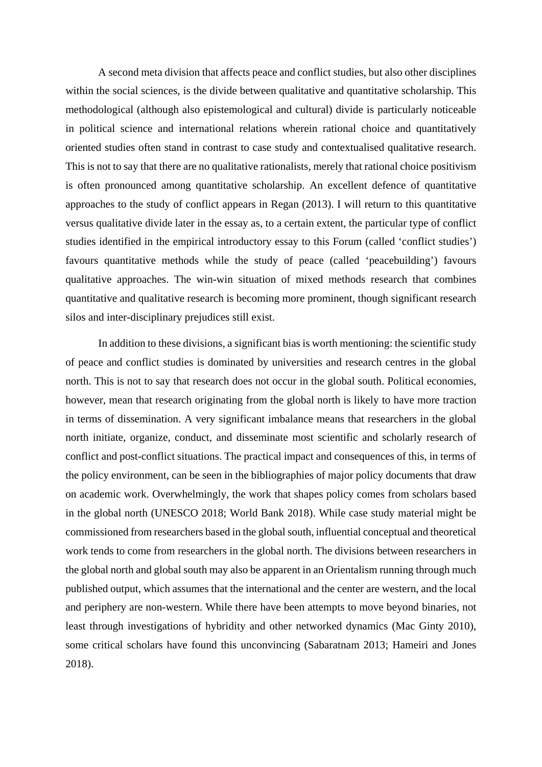A second meta division that affects peace and conflict studies, but also other disciplines within the social sciences, is the divide between qualitative and quantitative scholarship. This methodological (although also epistemological and cultural) divide is particularly noticeable in political science and international relations wherein rational choice and quantitatively oriented studies often stand in contrast to case study and contextualised qualitative research. This is not to say that there are no qualitative rationalists, merely that rational choice positivism is often pronounced among quantitative scholarship. An excellent defence of quantitative approaches to the study of conflict appears in Regan (2013). I will return to this quantitative versus qualitative divide later in the essay as, to a certain extent, the particular type of conflict studies identified in the empirical introductory essay to this Forum (called 'conflict studies') favours quantitative methods while the study of peace (called 'peacebuilding') favours qualitative approaches. The win-win situation of mixed methods research that combines quantitative and qualitative research is becoming more prominent, though significant research silos and inter-disciplinary prejudices still exist.

In addition to these divisions, a significant bias is worth mentioning: the scientific study of peace and conflict studies is dominated by universities and research centres in the global north. This is not to say that research does not occur in the global south. Political economies, however, mean that research originating from the global north is likely to have more traction in terms of dissemination. A very significant imbalance means that researchers in the global north initiate, organize, conduct, and disseminate most scientific and scholarly research of conflict and post-conflict situations. The practical impact and consequences of this, in terms of the policy environment, can be seen in the bibliographies of major policy documents that draw on academic work. Overwhelmingly, the work that shapes policy comes from scholars based in the global north (UNESCO 2018; World Bank 2018). While case study material might be commissioned from researchers based in the global south, influential conceptual and theoretical work tends to come from researchers in the global north. The divisions between researchers in the global north and global south may also be apparent in an Orientalism running through much published output, which assumes that the international and the center are western, and the local and periphery are non-western. While there have been attempts to move beyond binaries, not least through investigations of hybridity and other networked dynamics (Mac Ginty 2010), some critical scholars have found this unconvincing (Sabaratnam 2013; Hameiri and Jones 2018).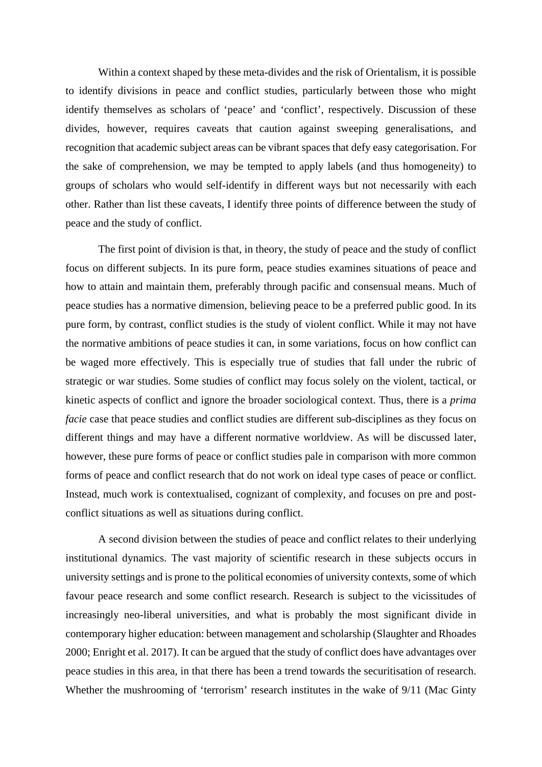Within a context shaped by these meta-divides and the risk of Orientalism, it is possible to identify divisions in peace and conflict studies, particularly between those who might identify themselves as scholars of 'peace' and 'conflict', respectively. Discussion of these divides, however, requires caveats that caution against sweeping generalisations, and recognition that academic subject areas can be vibrant spaces that defy easy categorisation. For the sake of comprehension, we may be tempted to apply labels (and thus homogeneity) to groups of scholars who would self-identify in different ways but not necessarily with each other. Rather than list these caveats, I identify three points of difference between the study of peace and the study of conflict.

The first point of division is that, in theory, the study of peace and the study of conflict focus on different subjects. In its pure form, peace studies examines situations of peace and how to attain and maintain them, preferably through pacific and consensual means. Much of peace studies has a normative dimension, believing peace to be a preferred public good. In its pure form, by contrast, conflict studies is the study of violent conflict. While it may not have the normative ambitions of peace studies it can, in some variations, focus on how conflict can be waged more effectively. This is especially true of studies that fall under the rubric of strategic or war studies. Some studies of conflict may focus solely on the violent, tactical, or kinetic aspects of conflict and ignore the broader sociological context. Thus, there is a *prima facie* case that peace studies and conflict studies are different sub-disciplines as they focus on different things and may have a different normative worldview. As will be discussed later, however, these pure forms of peace or conflict studies pale in comparison with more common forms of peace and conflict research that do not work on ideal type cases of peace or conflict. Instead, much work is contextualised, cognizant of complexity, and focuses on pre and postconflict situations as well as situations during conflict.

A second division between the studies of peace and conflict relates to their underlying institutional dynamics. The vast majority of scientific research in these subjects occurs in university settings and is prone to the political economies of university contexts, some of which favour peace research and some conflict research. Research is subject to the vicissitudes of increasingly neo-liberal universities, and what is probably the most significant divide in contemporary higher education: between management and scholarship (Slaughter and Rhoades 2000; Enright et al. 2017). It can be argued that the study of conflict does have advantages over peace studies in this area, in that there has been a trend towards the securitisation of research. Whether the mushrooming of 'terrorism' research institutes in the wake of 9/11 (Mac Ginty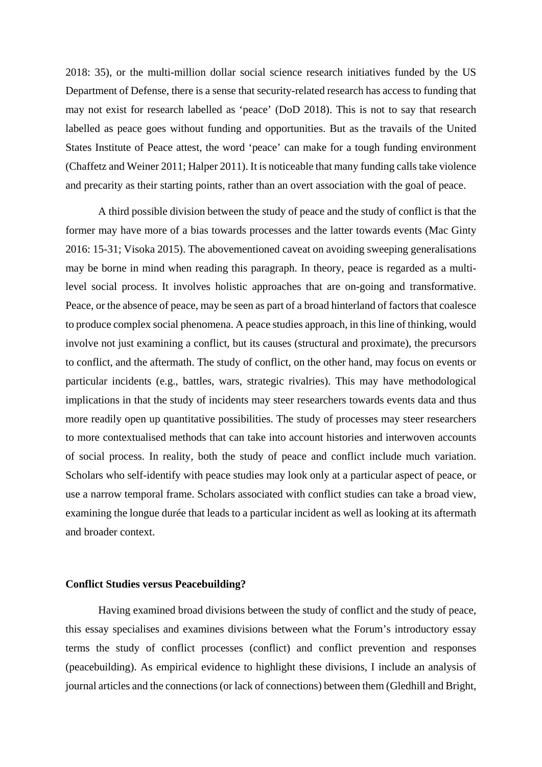2018: 35), or the multi-million dollar social science research initiatives funded by the US Department of Defense, there is a sense that security-related research has access to funding that may not exist for research labelled as 'peace' (DoD 2018). This is not to say that research labelled as peace goes without funding and opportunities. But as the travails of the United States Institute of Peace attest, the word 'peace' can make for a tough funding environment (Chaffetz and Weiner 2011; Halper 2011). It is noticeable that many funding calls take violence and precarity as their starting points, rather than an overt association with the goal of peace.

A third possible division between the study of peace and the study of conflict is that the former may have more of a bias towards processes and the latter towards events (Mac Ginty 2016: 15-31; Visoka 2015). The abovementioned caveat on avoiding sweeping generalisations may be borne in mind when reading this paragraph. In theory, peace is regarded as a multilevel social process. It involves holistic approaches that are on-going and transformative. Peace, or the absence of peace, may be seen as part of a broad hinterland of factors that coalesce to produce complex social phenomena. A peace studies approach, in this line of thinking, would involve not just examining a conflict, but its causes (structural and proximate), the precursors to conflict, and the aftermath. The study of conflict, on the other hand, may focus on events or particular incidents (e.g., battles, wars, strategic rivalries). This may have methodological implications in that the study of incidents may steer researchers towards events data and thus more readily open up quantitative possibilities. The study of processes may steer researchers to more contextualised methods that can take into account histories and interwoven accounts of social process. In reality, both the study of peace and conflict include much variation. Scholars who self-identify with peace studies may look only at a particular aspect of peace, or use a narrow temporal frame. Scholars associated with conflict studies can take a broad view, examining the longue durée that leads to a particular incident as well as looking at its aftermath and broader context.

### **Conflict Studies versus Peacebuilding?**

Having examined broad divisions between the study of conflict and the study of peace, this essay specialises and examines divisions between what the Forum's introductory essay terms the study of conflict processes (conflict) and conflict prevention and responses (peacebuilding). As empirical evidence to highlight these divisions, I include an analysis of journal articles and the connections (or lack of connections) between them (Gledhill and Bright,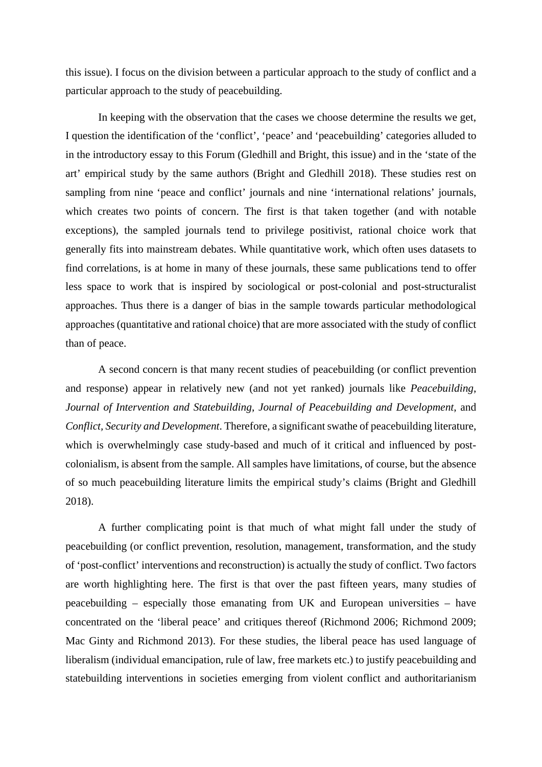this issue). I focus on the division between a particular approach to the study of conflict and a particular approach to the study of peacebuilding.

In keeping with the observation that the cases we choose determine the results we get, I question the identification of the 'conflict', 'peace' and 'peacebuilding' categories alluded to in the introductory essay to this Forum (Gledhill and Bright, this issue) and in the 'state of the art' empirical study by the same authors (Bright and Gledhill 2018). These studies rest on sampling from nine 'peace and conflict' journals and nine 'international relations' journals, which creates two points of concern. The first is that taken together (and with notable exceptions), the sampled journals tend to privilege positivist, rational choice work that generally fits into mainstream debates. While quantitative work, which often uses datasets to find correlations, is at home in many of these journals, these same publications tend to offer less space to work that is inspired by sociological or post-colonial and post-structuralist approaches. Thus there is a danger of bias in the sample towards particular methodological approaches (quantitative and rational choice) that are more associated with the study of conflict than of peace.

A second concern is that many recent studies of peacebuilding (or conflict prevention and response) appear in relatively new (and not yet ranked) journals like *Peacebuilding*, *Journal of Intervention and Statebuilding*, *Journal of Peacebuilding and Development*, and *Conflict, Security and Development*. Therefore, a significant swathe of peacebuilding literature, which is overwhelmingly case study-based and much of it critical and influenced by postcolonialism, is absent from the sample. All samples have limitations, of course, but the absence of so much peacebuilding literature limits the empirical study's claims (Bright and Gledhill 2018).

A further complicating point is that much of what might fall under the study of peacebuilding (or conflict prevention, resolution, management, transformation, and the study of 'post-conflict' interventions and reconstruction) is actually the study of conflict. Two factors are worth highlighting here. The first is that over the past fifteen years, many studies of peacebuilding – especially those emanating from UK and European universities – have concentrated on the 'liberal peace' and critiques thereof (Richmond 2006; Richmond 2009; Mac Ginty and Richmond 2013). For these studies, the liberal peace has used language of liberalism (individual emancipation, rule of law, free markets etc.) to justify peacebuilding and statebuilding interventions in societies emerging from violent conflict and authoritarianism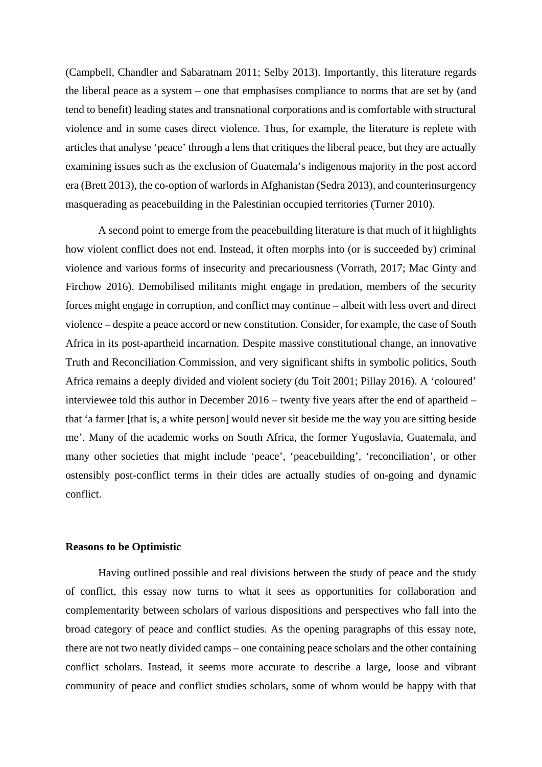(Campbell, Chandler and Sabaratnam 2011; Selby 2013). Importantly, this literature regards the liberal peace as a system – one that emphasises compliance to norms that are set by (and tend to benefit) leading states and transnational corporations and is comfortable with structural violence and in some cases direct violence. Thus, for example, the literature is replete with articles that analyse 'peace' through a lens that critiques the liberal peace, but they are actually examining issues such as the exclusion of Guatemala's indigenous majority in the post accord era (Brett 2013), the co-option of warlords in Afghanistan (Sedra 2013), and counterinsurgency masquerading as peacebuilding in the Palestinian occupied territories (Turner 2010).

A second point to emerge from the peacebuilding literature is that much of it highlights how violent conflict does not end. Instead, it often morphs into (or is succeeded by) criminal violence and various forms of insecurity and precariousness (Vorrath, 2017; Mac Ginty and Firchow 2016). Demobilised militants might engage in predation, members of the security forces might engage in corruption, and conflict may continue – albeit with less overt and direct violence – despite a peace accord or new constitution. Consider, for example, the case of South Africa in its post-apartheid incarnation. Despite massive constitutional change, an innovative Truth and Reconciliation Commission, and very significant shifts in symbolic politics, South Africa remains a deeply divided and violent society (du Toit 2001; Pillay 2016). A 'coloured' interviewee told this author in December 2016 – twenty five years after the end of apartheid – that 'a farmer [that is, a white person] would never sit beside me the way you are sitting beside me'. Many of the academic works on South Africa, the former Yugoslavia, Guatemala, and many other societies that might include 'peace', 'peacebuilding', 'reconciliation', or other ostensibly post-conflict terms in their titles are actually studies of on-going and dynamic conflict.

### **Reasons to be Optimistic**

Having outlined possible and real divisions between the study of peace and the study of conflict, this essay now turns to what it sees as opportunities for collaboration and complementarity between scholars of various dispositions and perspectives who fall into the broad category of peace and conflict studies. As the opening paragraphs of this essay note, there are not two neatly divided camps – one containing peace scholars and the other containing conflict scholars. Instead, it seems more accurate to describe a large, loose and vibrant community of peace and conflict studies scholars, some of whom would be happy with that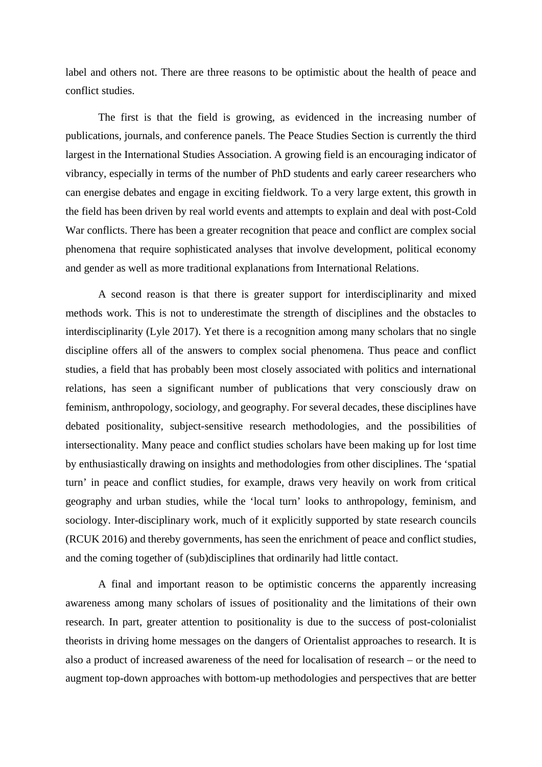label and others not. There are three reasons to be optimistic about the health of peace and conflict studies.

The first is that the field is growing, as evidenced in the increasing number of publications, journals, and conference panels. The Peace Studies Section is currently the third largest in the International Studies Association. A growing field is an encouraging indicator of vibrancy, especially in terms of the number of PhD students and early career researchers who can energise debates and engage in exciting fieldwork. To a very large extent, this growth in the field has been driven by real world events and attempts to explain and deal with post-Cold War conflicts. There has been a greater recognition that peace and conflict are complex social phenomena that require sophisticated analyses that involve development, political economy and gender as well as more traditional explanations from International Relations.

A second reason is that there is greater support for interdisciplinarity and mixed methods work. This is not to underestimate the strength of disciplines and the obstacles to interdisciplinarity (Lyle 2017). Yet there is a recognition among many scholars that no single discipline offers all of the answers to complex social phenomena. Thus peace and conflict studies, a field that has probably been most closely associated with politics and international relations, has seen a significant number of publications that very consciously draw on feminism, anthropology, sociology, and geography. For several decades, these disciplines have debated positionality, subject-sensitive research methodologies, and the possibilities of intersectionality. Many peace and conflict studies scholars have been making up for lost time by enthusiastically drawing on insights and methodologies from other disciplines. The 'spatial turn' in peace and conflict studies, for example, draws very heavily on work from critical geography and urban studies, while the 'local turn' looks to anthropology, feminism, and sociology. Inter-disciplinary work, much of it explicitly supported by state research councils (RCUK 2016) and thereby governments, has seen the enrichment of peace and conflict studies, and the coming together of (sub)disciplines that ordinarily had little contact.

A final and important reason to be optimistic concerns the apparently increasing awareness among many scholars of issues of positionality and the limitations of their own research. In part, greater attention to positionality is due to the success of post-colonialist theorists in driving home messages on the dangers of Orientalist approaches to research. It is also a product of increased awareness of the need for localisation of research – or the need to augment top-down approaches with bottom-up methodologies and perspectives that are better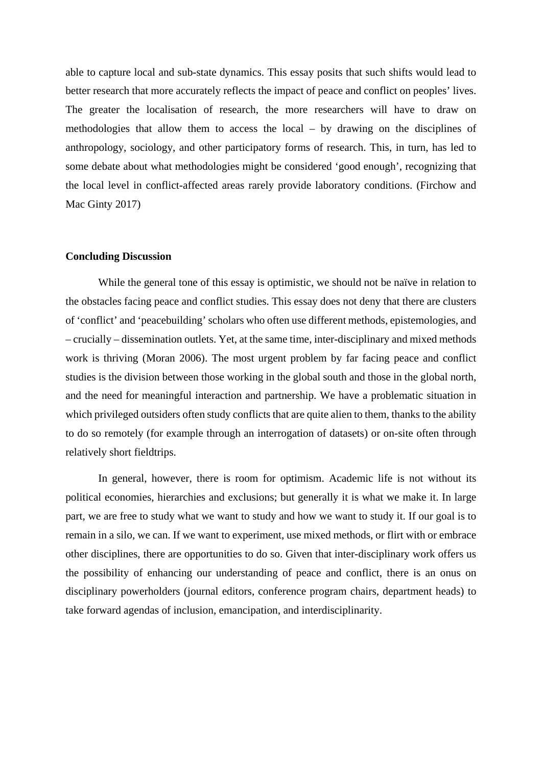able to capture local and sub-state dynamics. This essay posits that such shifts would lead to better research that more accurately reflects the impact of peace and conflict on peoples' lives. The greater the localisation of research, the more researchers will have to draw on methodologies that allow them to access the local – by drawing on the disciplines of anthropology, sociology, and other participatory forms of research. This, in turn, has led to some debate about what methodologies might be considered 'good enough', recognizing that the local level in conflict-affected areas rarely provide laboratory conditions. (Firchow and Mac Ginty 2017)

### **Concluding Discussion**

While the general tone of this essay is optimistic, we should not be naïve in relation to the obstacles facing peace and conflict studies. This essay does not deny that there are clusters of 'conflict' and 'peacebuilding' scholars who often use different methods, epistemologies, and – crucially – dissemination outlets. Yet, at the same time, inter-disciplinary and mixed methods work is thriving (Moran 2006). The most urgent problem by far facing peace and conflict studies is the division between those working in the global south and those in the global north, and the need for meaningful interaction and partnership. We have a problematic situation in which privileged outsiders often study conflicts that are quite alien to them, thanks to the ability to do so remotely (for example through an interrogation of datasets) or on-site often through relatively short fieldtrips.

In general, however, there is room for optimism. Academic life is not without its political economies, hierarchies and exclusions; but generally it is what we make it. In large part, we are free to study what we want to study and how we want to study it. If our goal is to remain in a silo, we can. If we want to experiment, use mixed methods, or flirt with or embrace other disciplines, there are opportunities to do so. Given that inter-disciplinary work offers us the possibility of enhancing our understanding of peace and conflict, there is an onus on disciplinary powerholders (journal editors, conference program chairs, department heads) to take forward agendas of inclusion, emancipation, and interdisciplinarity.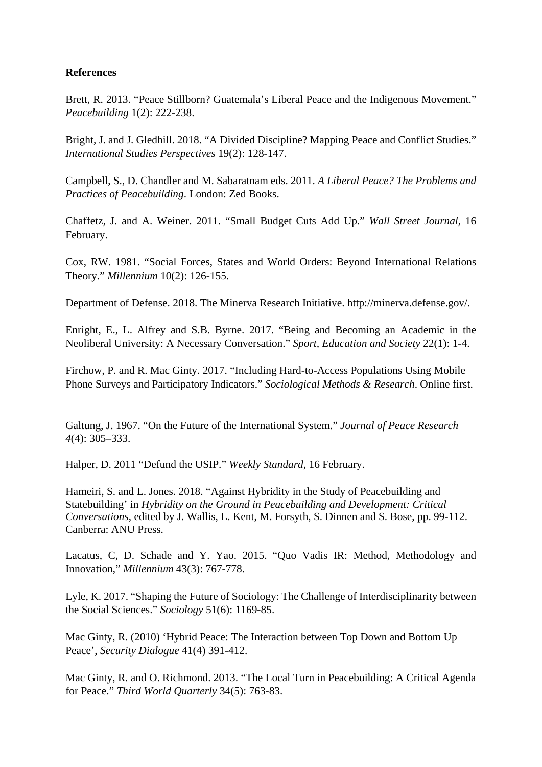## **References**

Brett, R. 2013. "Peace Stillborn? Guatemala's Liberal Peace and the Indigenous Movement." *Peacebuilding* 1(2): 222-238.

Bright, J. and J. Gledhill. 2018. "A Divided Discipline? Mapping Peace and Conflict Studies." *International Studies Perspectives* 19(2): 128-147.

Campbell, S., D. Chandler and M. Sabaratnam eds. 2011. *A Liberal Peace? The Problems and Practices of Peacebuilding*. London: Zed Books.

Chaffetz, J. and A. Weiner. 2011. "Small Budget Cuts Add Up." *Wall Street Journal*, 16 February.

Cox, RW. 1981. "Social Forces, States and World Orders: Beyond International Relations Theory." *Millennium* 10(2): 126-155.

Department of Defense. 2018. The Minerva Research Initiative. http://minerva.defense.gov/.

Enright, E., L. Alfrey and S.B. Byrne. 2017. "Being and Becoming an Academic in the Neoliberal University: A Necessary Conversation." *Sport, Education and Society* 22(1): 1-4.

Firchow, P. and R. Mac Ginty. 2017. "Including Hard-to-Access Populations Using Mobile Phone Surveys and Participatory Indicators." *Sociological Methods & Research*. Online first.

Galtung, J. 1967. "On the Future of the International System." *Journal of Peace Research 4*(4): 305–333.

Halper, D. 2011 "Defund the USIP." *Weekly Standard,* 16 February.

Hameiri, S. and L. Jones. 2018. "Against Hybridity in the Study of Peacebuilding and Statebuilding' in *Hybridity on the Ground in Peacebuilding and Development: Critical Conversations*, edited by J. Wallis, L. Kent, M. Forsyth, S. Dinnen and S. Bose, pp. 99-112. Canberra: ANU Press.

Lacatus, C, D. Schade and Y. Yao. 2015. "Quo Vadis IR: Method, Methodology and Innovation," *Millennium* 43(3): 767-778.

Lyle, K. 2017. "Shaping the Future of Sociology: The Challenge of Interdisciplinarity between the Social Sciences." *Sociology* 51(6): 1169-85.

Mac Ginty, R. (2010) 'Hybrid Peace: The Interaction between Top Down and Bottom Up Peace', *Security Dialogue* 41(4) 391-412.

Mac Ginty, R. and O. Richmond. 2013. "The Local Turn in Peacebuilding: A Critical Agenda for Peace." *Third World Quarterly* 34(5): 763-83.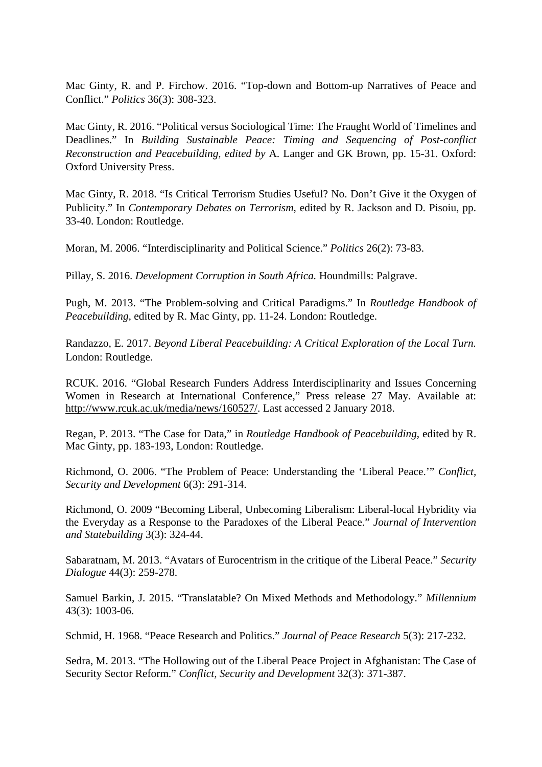Mac Ginty, R. and P. Firchow. 2016. "Top-down and Bottom-up Narratives of Peace and Conflict." *Politics* 36(3): 308-323.

Mac Ginty, R. 2016. "Political versus Sociological Time: The Fraught World of Timelines and Deadlines." In *Building Sustainable Peace: Timing and Sequencing of Post-conflict Reconstruction and Peacebuilding, edited by* A. Langer and GK Brown, pp. 15-31. Oxford: Oxford University Press.

Mac Ginty, R. 2018. "Is Critical Terrorism Studies Useful? No. Don't Give it the Oxygen of Publicity." In *Contemporary Debates on Terrorism*, edited by R. Jackson and D. Pisoiu, pp. 33-40. London: Routledge.

Moran, M. 2006. "Interdisciplinarity and Political Science." *Politics* 26(2): 73-83.

Pillay, S. 2016. *Development Corruption in South Africa.* Houndmills: Palgrave.

Pugh, M. 2013. "The Problem-solving and Critical Paradigms." In *Routledge Handbook of Peacebuilding,* edited by R. Mac Ginty, pp. 11-24. London: Routledge.

Randazzo, E. 2017. *Beyond Liberal Peacebuilding: A Critical Exploration of the Local Turn.* London: Routledge.

RCUK. 2016. "Global Research Funders Address Interdisciplinarity and Issues Concerning Women in Research at International Conference," Press release 27 May. Available at: [http://www.rcuk.ac.uk/media/news/160527/.](http://www.rcuk.ac.uk/media/news/160527/) Last accessed 2 January 2018.

Regan, P. 2013. "The Case for Data," in *Routledge Handbook of Peacebuilding*, edited by R. Mac Ginty, pp. 183-193, London: Routledge.

Richmond, O. 2006. "The Problem of Peace: Understanding the 'Liberal Peace.'" *Conflict, Security and Development* 6(3): 291-314.

Richmond, O. 2009 "Becoming Liberal, Unbecoming Liberalism: Liberal-local Hybridity via the Everyday as a Response to the Paradoxes of the Liberal Peace." *Journal of Intervention and Statebuilding* 3(3): 324-44.

Sabaratnam, M. 2013. "Avatars of Eurocentrism in the critique of the Liberal Peace." *Security Dialogue* 44(3): 259-278.

Samuel Barkin, J. 2015. "Translatable? On Mixed Methods and Methodology." *Millennium* 43(3): 1003-06.

Schmid, H. 1968. "Peace Research and Politics." *Journal of Peace Research* 5(3): 217-232.

Sedra, M. 2013. "The Hollowing out of the Liberal Peace Project in Afghanistan: The Case of Security Sector Reform." *Conflict, Security and Development* 32(3): 371-387.